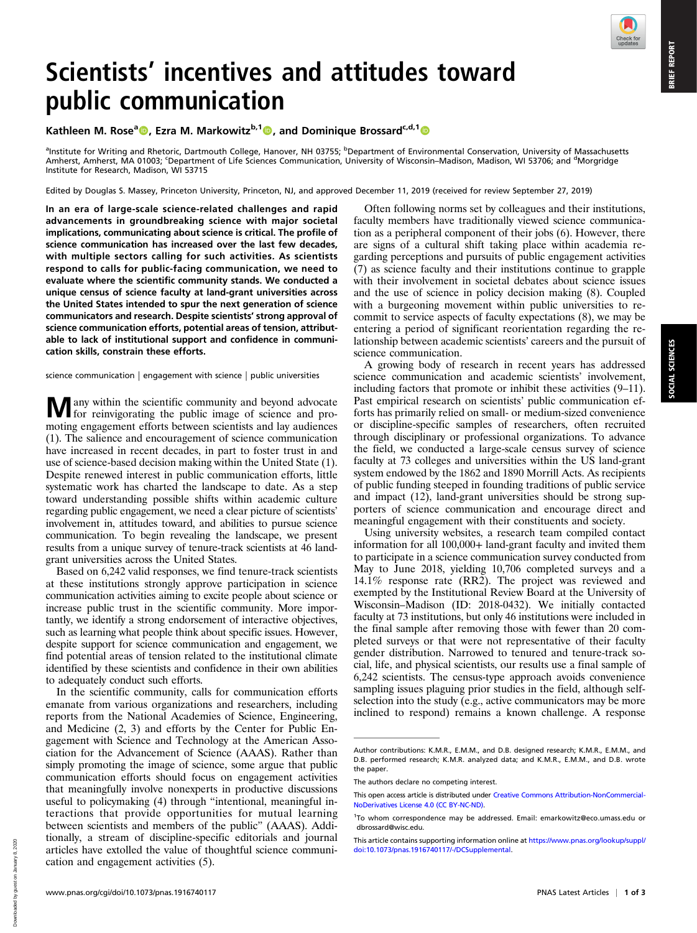SOCIAL SCIENCES

## Scientists' incentives and attitudes toward public communication

Kathleen M. Rose<sup>a</sup> . Ezra M. Markowitz<sup>b,1</sup> . and Dominique Brossard<sup>c,d,1</sup> .

<sup>a</sup>Institute for Writing and Rhetoric, Dartmouth College, Hanover, NH 03755; <sup>b</sup>Department of Environmental Conservation, University of Massachusetts Amherst, Amherst, MA 01003; <sup>c</sup>Department of Life Sciences Communication, University of Wisconsin–Madison, Madison, WI 53706; and <sup>d</sup>Morgridge Institute for Research, Madison, WI 53715

Edited by Douglas S. Massey, Princeton University, Princeton, NJ, and approved December 11, 2019 (received for review September 27, 2019)

In an era of large-scale science-related challenges and rapid advancements in groundbreaking science with major societal implications, communicating about science is critical. The profile of science communication has increased over the last few decades, with multiple sectors calling for such activities. As scientists respond to calls for public-facing communication, we need to evaluate where the scientific community stands. We conducted a unique census of science faculty at land-grant universities across the United States intended to spur the next generation of science communicators and research. Despite scientists' strong approval of science communication efforts, potential areas of tension, attributable to lack of institutional support and confidence in communication skills, constrain these efforts.

science communication | engagement with science | public universities

Many within the scientific community and beyond advocate for reinvigorating the public image of science and promoting engagement efforts between scientists and lay audiences (1). The salience and encouragement of science communication have increased in recent decades, in part to foster trust in and use of science-based decision making within the United State (1). Despite renewed interest in public communication efforts, little systematic work has charted the landscape to date. As a step toward understanding possible shifts within academic culture regarding public engagement, we need a clear picture of scientists' involvement in, attitudes toward, and abilities to pursue science communication. To begin revealing the landscape, we present results from a unique survey of tenure-track scientists at 46 landgrant universities across the United States.

Based on 6,242 valid responses, we find tenure-track scientists at these institutions strongly approve participation in science communication activities aiming to excite people about science or increase public trust in the scientific community. More importantly, we identify a strong endorsement of interactive objectives, such as learning what people think about specific issues. However, despite support for science communication and engagement, we find potential areas of tension related to the institutional climate identified by these scientists and confidence in their own abilities to adequately conduct such efforts.

In the scientific community, calls for communication efforts emanate from various organizations and researchers, including reports from the National Academies of Science, Engineering, and Medicine (2, 3) and efforts by the Center for Public Engagement with Science and Technology at the American Association for the Advancement of Science (AAAS). Rather than simply promoting the image of science, some argue that public communication efforts should focus on engagement activities that meaningfully involve nonexperts in productive discussions useful to policymaking (4) through "intentional, meaningful interactions that provide opportunities for mutual learning between scientists and members of the public" (AAAS). Additionally, a stream of discipline-specific editorials and journal articles have extolled the value of thoughtful science communication and engagement activities (5).

Often following norms set by colleagues and their institutions, faculty members have traditionally viewed science communication as a peripheral component of their jobs (6). However, there are signs of a cultural shift taking place within academia regarding perceptions and pursuits of public engagement activities (7) as science faculty and their institutions continue to grapple with their involvement in societal debates about science issues and the use of science in policy decision making (8). Coupled with a burgeoning movement within public universities to recommit to service aspects of faculty expectations (8), we may be entering a period of significant reorientation regarding the relationship between academic scientists' careers and the pursuit of science communication.

A growing body of research in recent years has addressed science communication and academic scientists' involvement, including factors that promote or inhibit these activities (9–11). Past empirical research on scientists' public communication efforts has primarily relied on small- or medium-sized convenience or discipline-specific samples of researchers, often recruited through disciplinary or professional organizations. To advance the field, we conducted a large-scale census survey of science faculty at 73 colleges and universities within the US land-grant system endowed by the 1862 and 1890 Morrill Acts. As recipients of public funding steeped in founding traditions of public service and impact (12), land-grant universities should be strong supporters of science communication and encourage direct and meaningful engagement with their constituents and society.

Using university websites, a research team compiled contact information for all 100,000+ land-grant faculty and invited them to participate in a science communication survey conducted from May to June 2018, yielding 10,706 completed surveys and a 14.1% response rate (RR2). The project was reviewed and exempted by the Institutional Review Board at the University of Wisconsin–Madison (ID: 2018-0432). We initially contacted faculty at 73 institutions, but only 46 institutions were included in the final sample after removing those with fewer than 20 completed surveys or that were not representative of their faculty gender distribution. Narrowed to tenured and tenure-track social, life, and physical scientists, our results use a final sample of 6,242 scientists. The census-type approach avoids convenience sampling issues plaguing prior studies in the field, although selfselection into the study (e.g., active communicators may be more inclined to respond) remains a known challenge. A response

Author contributions: K.M.R., E.M.M., and D.B. designed research; K.M.R., E.M.M., and D.B. performed research; K.M.R. analyzed data; and K.M.R., E.M.M., and D.B. wrote the paper.

The authors declare no competing interest.

This open access article is distributed under [Creative Commons Attribution-NonCommercial-](https://creativecommons.org/licenses/by-nc-nd/4.0/)[NoDerivatives License 4.0 \(CC BY-NC-ND\).](https://creativecommons.org/licenses/by-nc-nd/4.0/)

<sup>&</sup>lt;sup>1</sup>To whom correspondence may be addressed. Email: [emarkowitz@eco.umass.edu](mailto:emarkowitz@eco.umass.edu) or [dbrossard@wisc.edu.](mailto:dbrossard@wisc.edu)

This article contains supporting information online at [https://www.pnas.org/lookup/suppl/](https://www.pnas.org/lookup/suppl/doi:10.1073/pnas.1916740117/-/DCSupplemental) [doi:10.1073/pnas.1916740117/-/DCSupplemental.](https://www.pnas.org/lookup/suppl/doi:10.1073/pnas.1916740117/-/DCSupplemental)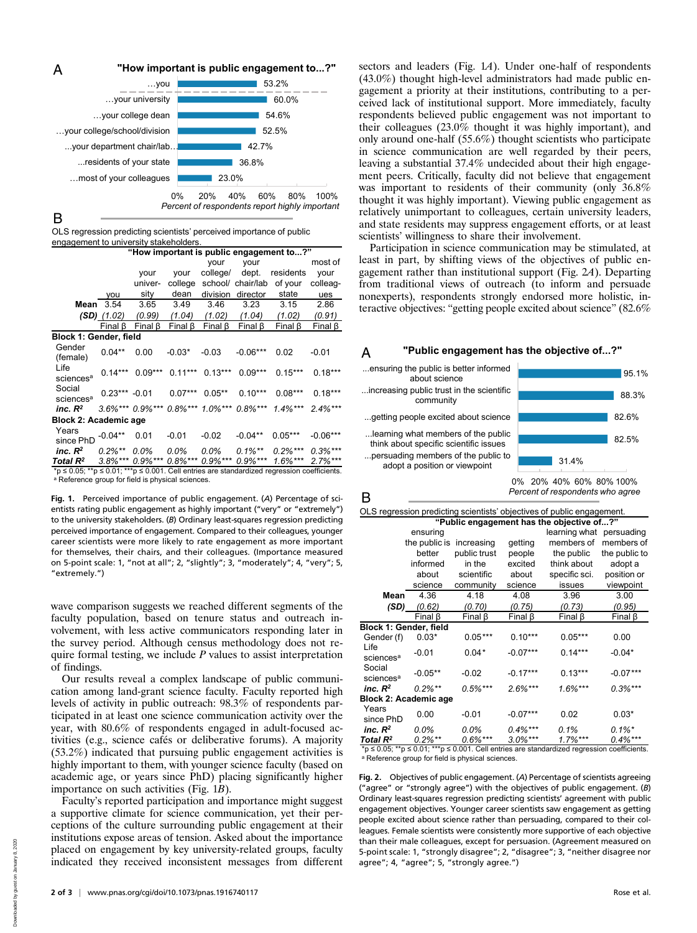A





0% 20% 40% 60% 80% 100% *Percent of respondents report highly important*

B

OLS regression predicting scientists' perceived importance of public engagement to university stakeholders.

|                                                                                                            |                  | "How important is public engagement to?" |               |                                 |                   |                                                         |                     |  |  |
|------------------------------------------------------------------------------------------------------------|------------------|------------------------------------------|---------------|---------------------------------|-------------------|---------------------------------------------------------|---------------------|--|--|
|                                                                                                            |                  |                                          |               | your                            | your              |                                                         | most of             |  |  |
|                                                                                                            |                  | your                                     | your          | college/                        | dept.             | residents                                               | your                |  |  |
|                                                                                                            |                  | univer-                                  | college       |                                 | school/ chair/lab | of your                                                 | colleag-            |  |  |
|                                                                                                            | you              | sity                                     | dean          | division                        | director          | state                                                   | ues                 |  |  |
|                                                                                                            | <b>Mean</b> 3.54 | 3.65                                     | 3.49          | 3.46                            | 3.23              | 3.15                                                    | 2.86                |  |  |
|                                                                                                            | $(SD)$ $(1.02)$  | (0.99)                                   | (1.04)        | (1.02)                          | (1.04)            | (1.02)                                                  | (0.91)              |  |  |
|                                                                                                            | Final $\beta$    | Final $\beta$                            | Final $\beta$ | Final $\beta$                   | Final $\beta$     | Final $\beta$                                           | Final $\beta$       |  |  |
| <b>Block 1: Gender, field</b>                                                                              |                  |                                          |               |                                 |                   |                                                         |                     |  |  |
| Gender<br>(female)                                                                                         | $0.04**$         | 0.00                                     | $-0.03*$      | $-0.03$                         | $-0.06***$        | 0.02                                                    | $-0.01$             |  |  |
| Life<br>sciences <sup>a</sup>                                                                              | $0.14***$        | $0.09***$                                |               | $0.11***$ 0.13***               | $0.09***$         | $0.15***$                                               | $0.18***$           |  |  |
| Social<br>sciences <sup>a</sup>                                                                            | $0.23*** -0.01$  |                                          | $0.07***$     | $0.05***$                       | $0.10***$         | $0.08***$                                               | $0.18***$           |  |  |
| inc. $R^2$                                                                                                 |                  |                                          |               |                                 |                   | 3.6%*** 0.9%*** 0.8%*** 1.0%*** 0.8%*** 1.4%*** 2.4%*** |                     |  |  |
| <b>Block 2: Academic age</b>                                                                               |                  |                                          |               |                                 |                   |                                                         |                     |  |  |
| Years<br>since PhD                                                                                         | $-0.04**$        | 0.01                                     | $-0.01$       | $-0.02$                         | $-0.04**$         | $0.05***$                                               | $-0.06***$          |  |  |
| inc. $R^2$                                                                                                 | $0.2\%**$        | $0.0\%$                                  | 0.0%          | $0.0\%$                         | $0.1\%**$         | $0.2\%***$                                              | $0.3\%***$          |  |  |
| Total R <sup>2</sup>                                                                                       |                  |                                          |               | 3.8%*** 0.9%*** 0.8%*** 0.9%*** | $0.9\%***$        |                                                         | $1.6\%$ *** 2.7%*** |  |  |
| *p $\leq$ 0.05; **p $\leq$ 0.01; ***p $\leq$ 0.001. Cell entries are standardized regression coefficients. |                  |                                          |               |                                 |                   |                                                         |                     |  |  |

a Reference group for field is physical sciences.

Fig. 1. Perceived importance of public engagement. (A) Percentage of scientists rating public engagement as highly important ("very" or "extremely") to the university stakeholders. (B) Ordinary least-squares regression predicting perceived importance of engagement. Compared to their colleagues, younger career scientists were more likely to rate engagement as more important for themselves, their chairs, and their colleagues. (Importance measured on 5-point scale: 1, "not at all"; 2, "slightly"; 3, "moderately"; 4, "very"; 5, "extremely.")

wave comparison suggests we reached different segments of the faculty population, based on tenure status and outreach involvement, with less active communicators responding later in the survey period. Although census methodology does not require formal testing, we include  $P$  values to assist interpretation of findings.

Our results reveal a complex landscape of public communication among land-grant science faculty. Faculty reported high levels of activity in public outreach: 98.3% of respondents participated in at least one science communication activity over the year, with 80.6% of respondents engaged in adult-focused activities (e.g., science cafés or deliberative forums). A majority (53.2%) indicated that pursuing public engagement activities is highly important to them, with younger science faculty (based on academic age, or years since PhD) placing significantly higher importance on such activities (Fig. 1B).

Faculty's reported participation and importance might suggest a supportive climate for science communication, yet their perceptions of the culture surrounding public engagement at their institutions expose areas of tension. Asked about the importance placed on engagement by key university-related groups, faculty indicated they received inconsistent messages from different sectors and leaders (Fig. 1A). Under one-half of respondents (43.0%) thought high-level administrators had made public engagement a priority at their institutions, contributing to a perceived lack of institutional support. More immediately, faculty respondents believed public engagement was not important to their colleagues (23.0% thought it was highly important), and only around one-half (55.6%) thought scientists who participate in science communication are well regarded by their peers, leaving a substantial 37.4% undecided about their high engagement peers. Critically, faculty did not believe that engagement was important to residents of their community (only 36.8% thought it was highly important). Viewing public engagement as relatively unimportant to colleagues, certain university leaders, and state residents may suppress engagement efforts, or at least scientists' willingness to share their involvement.

Participation in science communication may be stimulated, at least in part, by shifting views of the objectives of public engagement rather than institutional support (Fig. 2A). Departing from traditional views of outreach (to inform and persuade nonexperts), respondents strongly endorsed more holistic, interactive objectives: "getting people excited about science" (82.6%

## A **"Public engagement has the objective of...?"**



| OLS regression predicting scientists' objectives of public engagement.                                     |               |               |               |               |               |  |  |  |  |  |
|------------------------------------------------------------------------------------------------------------|---------------|---------------|---------------|---------------|---------------|--|--|--|--|--|
| "Public engagement has the objective of?"                                                                  |               |               |               |               |               |  |  |  |  |  |
|                                                                                                            | ensuring      |               |               | learning what | persuading    |  |  |  |  |  |
|                                                                                                            | the public is | increasing    | qetting       | members of    | members of    |  |  |  |  |  |
|                                                                                                            | better        | public trust  | people        | the public    | the public to |  |  |  |  |  |
|                                                                                                            | informed      | in the        | excited       | think about   | adopt a       |  |  |  |  |  |
|                                                                                                            | about         | scientific    | about         | specific sci. | position or   |  |  |  |  |  |
|                                                                                                            | science       | community     | science       | issues        | viewpoint     |  |  |  |  |  |
| Mean                                                                                                       | 4.36          | 4.18          | 4.08          | 3.96          | 3.00          |  |  |  |  |  |
| (SD)                                                                                                       | (0.62)        | (0.70)        | (0.75)        | (0.73)        | (0.95)        |  |  |  |  |  |
|                                                                                                            | Final $\beta$ | Final $\beta$ | Final $\beta$ | Final $\beta$ | Final $\beta$ |  |  |  |  |  |
| Block 1: Gender, field                                                                                     |               |               |               |               |               |  |  |  |  |  |
| Gender (f)                                                                                                 | $0.03*$       | $0.05***$     | $0.10***$     | $0.05***$     | 0.00          |  |  |  |  |  |
| Life<br>sciences <sup>a</sup>                                                                              | $-0.01$       | $0.04*$       | $-0.07***$    | $0.14***$     | $-0.04*$      |  |  |  |  |  |
| Social<br>sciences <sup>a</sup>                                                                            | $-0.05**$     | $-0.02$       | $-0.17***$    | $0.13***$     | $-0.07***$    |  |  |  |  |  |
| inc. $R^2$                                                                                                 | $0.2\%$ **    | $0.5\%$ ***   | $2.6\%***$    | $1.6\%***$    | $0.3\%***$    |  |  |  |  |  |
| <b>Block 2: Academic age</b>                                                                               |               |               |               |               |               |  |  |  |  |  |
| Years<br>since PhD                                                                                         | 0.00          | $-0.01$       | $-0.07***$    | 0.02          | $0.03*$       |  |  |  |  |  |
| inc. $R^2$                                                                                                 | 0.0%          | $0.0\%$       | $0.4\%$ ***   | 0.1%          | $0.1\%$ *     |  |  |  |  |  |
| Total R <sup>2</sup>                                                                                       | $0.2\%**$     | $0.6\%***$    | $3.0\%***$    | $1.7\%***$    | $0.4\%***$    |  |  |  |  |  |
| *p $\leq$ 0.05; **p $\leq$ 0.01; ***p $\leq$ 0.001. Cell entries are standardized regression coefficients. |               |               |               |               |               |  |  |  |  |  |

a Reference group for field is physical sciences.

Fig. 2. Objectives of public engagement. (A) Percentage of scientists agreeing ("agree" or "strongly agree") with the objectives of public engagement. (B) Ordinary least-squares regression predicting scientists' agreement with public engagement objectives. Younger career scientists saw engagement as getting people excited about science rather than persuading, compared to their colleagues. Female scientists were consistently more supportive of each objective than their male colleagues, except for persuasion. (Agreement measured on 5-point scale: 1, "strongly disagree"; 2, "disagree"; 3, "neither disagree nor agree"; 4, "agree"; 5, "strongly agree.")